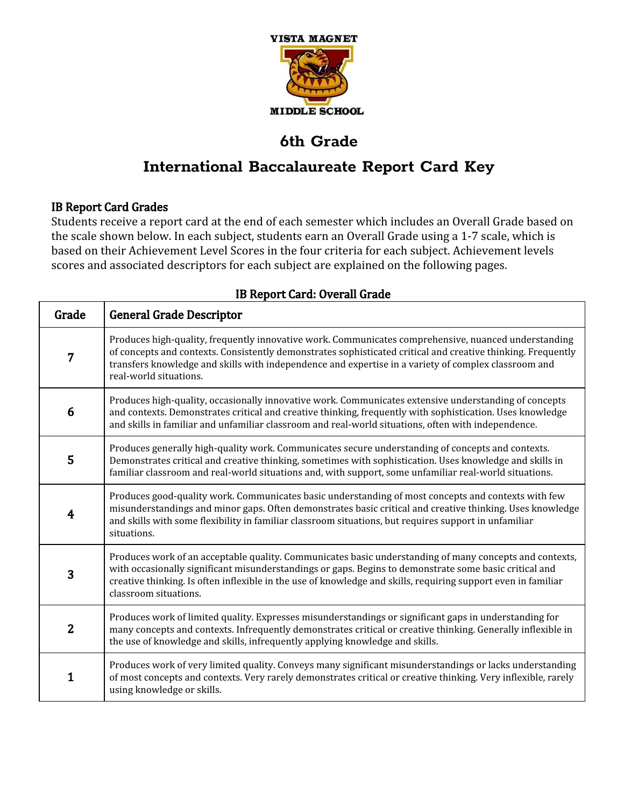

# **International Baccalaureate Report Card Key**

### IB Report Card Grades

Students receive a report card at the end of each semester which includes an Overall Grade based on the scale shown below. In each subject, students earn an Overall Grade using a 1-7 scale, which is based on their Achievement Level Scores in the four criteria for each subject. Achievement levels scores and associated descriptors for each subject are explained on the following pages.

| Grade            | <b>General Grade Descriptor</b>                                                                                                                                                                                                                                                                                                                             |
|------------------|-------------------------------------------------------------------------------------------------------------------------------------------------------------------------------------------------------------------------------------------------------------------------------------------------------------------------------------------------------------|
| $\overline{7}$   | Produces high-quality, frequently innovative work. Communicates comprehensive, nuanced understanding<br>of concepts and contexts. Consistently demonstrates sophisticated critical and creative thinking. Frequently<br>transfers knowledge and skills with independence and expertise in a variety of complex classroom and<br>real-world situations.      |
| 6                | Produces high-quality, occasionally innovative work. Communicates extensive understanding of concepts<br>and contexts. Demonstrates critical and creative thinking, frequently with sophistication. Uses knowledge<br>and skills in familiar and unfamiliar classroom and real-world situations, often with independence.                                   |
| 5                | Produces generally high-quality work. Communicates secure understanding of concepts and contexts.<br>Demonstrates critical and creative thinking, sometimes with sophistication. Uses knowledge and skills in<br>familiar classroom and real-world situations and, with support, some unfamiliar real-world situations.                                     |
| $\boldsymbol{4}$ | Produces good-quality work. Communicates basic understanding of most concepts and contexts with few<br>misunderstandings and minor gaps. Often demonstrates basic critical and creative thinking. Uses knowledge<br>and skills with some flexibility in familiar classroom situations, but requires support in unfamiliar<br>situations.                    |
| 3                | Produces work of an acceptable quality. Communicates basic understanding of many concepts and contexts,<br>with occasionally significant misunderstandings or gaps. Begins to demonstrate some basic critical and<br>creative thinking. Is often inflexible in the use of knowledge and skills, requiring support even in familiar<br>classroom situations. |
| $\overline{2}$   | Produces work of limited quality. Expresses misunderstandings or significant gaps in understanding for<br>many concepts and contexts. Infrequently demonstrates critical or creative thinking. Generally inflexible in<br>the use of knowledge and skills, infrequently applying knowledge and skills.                                                      |
| 1                | Produces work of very limited quality. Conveys many significant misunderstandings or lacks understanding<br>of most concepts and contexts. Very rarely demonstrates critical or creative thinking. Very inflexible, rarely<br>using knowledge or skills.                                                                                                    |

### IB Report Card: Overall Grade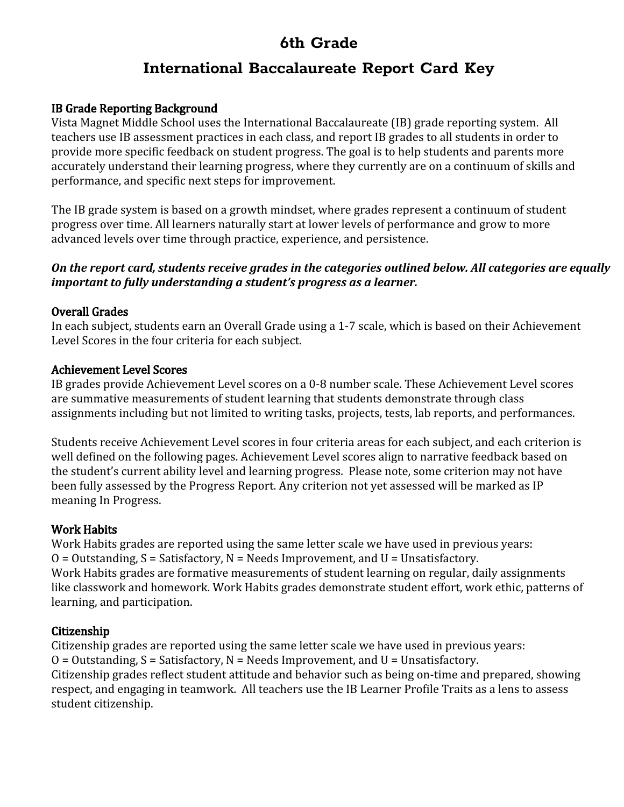## **International Baccalaureate Report Card Key**

### IB Grade Reporting Background

Vista Magnet Middle School uses the International Baccalaureate (IB) grade reporting system. All teachers use IB assessment practices in each class, and report IB grades to all students in order to provide more specific feedback on student progress. The goal is to help students and parents more accurately understand their learning progress, where they currently are on a continuum of skills and performance, and specific next steps for improvement.

The IB grade system is based on a growth mindset, where grades represent a continuum of student progress over time. All learners naturally start at lower levels of performance and grow to more advanced levels over time through practice, experience, and persistence.

### *On the report card, students receive grades in the categories outlined below. All categories are equally important to fully understanding a student's progress as a learner.*

### Overall Grades

In each subject, students earn an Overall Grade using a 1-7 scale, which is based on their Achievement Level Scores in the four criteria for each subject.

### Achievement Level Scores

IB grades provide Achievement Level scores on a 0-8 number scale. These Achievement Level scores are summative measurements of student learning that students demonstrate through class assignments including but not limited to writing tasks, projects, tests, lab reports, and performances.

Students receive Achievement Level scores in four criteria areas for each subject, and each criterion is well defined on the following pages. Achievement Level scores align to narrative feedback based on the student's current ability level and learning progress. Please note, some criterion may not have been fully assessed by the Progress Report. Any criterion not yet assessed will be marked as IP meaning In Progress.

### Work Habits

Work Habits grades are reported using the same letter scale we have used in previous years:  $O = 0$ utstanding,  $S = S$ atisfactory,  $N = Needs$  Improvement, and  $U = Unsatisfactory$ . Work Habits grades are formative measurements of student learning on regular, daily assignments like classwork and homework. Work Habits grades demonstrate student effort, work ethic, patterns of learning, and participation.

### Citizenship

Citizenship grades are reported using the same letter scale we have used in previous years:  $O = 0$ utstanding,  $S = S$ atisfactory,  $N = Needs$  Improvement, and  $U = Unsatisfactory$ . Citizenship grades reflect student attitude and behavior such as being on-time and prepared, showing respect, and engaging in teamwork. All teachers use the IB Learner Profile Traits as a lens to assess student citizenship.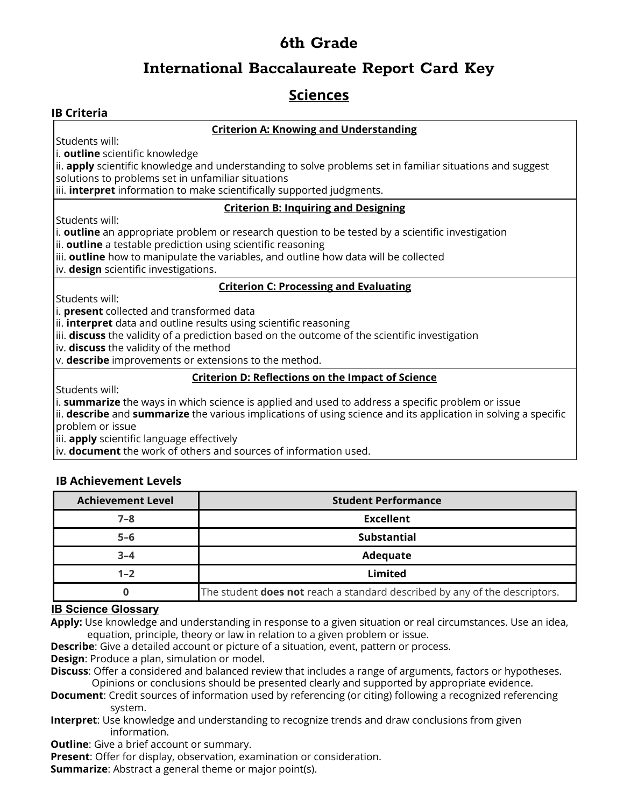### **International Baccalaureate Report Card Key**

### **Sciences**

### **IB Criteria**

#### **Criterion A: Knowing and Understanding**

Students will:

i. **outline** scientific knowledge

ii. **apply** scientific knowledge and understanding to solve problems set in familiar situations and suggest solutions to problems set in unfamiliar situations

iii. **interpret** information to make scientifically supported judgments.

#### **Criterion B: Inquiring and Designing**

Students will:

i. **outline** an appropriate problem or research question to be tested by a scientific investigation

ii. **outline** a testable prediction using scientific reasoning

iii. **outline** how to manipulate the variables, and outline how data will be collected

iv. **design** scientific investigations.

#### **Criterion C: Processing and Evaluating**

Students will:

i. **present** collected and transformed data

ii. **interpret** data and outline results using scientific reasoning

iii. **discuss** the validity of a prediction based on the outcome of the scientific investigation

iv. **discuss** the validity of the method

v. **describe** improvements or extensions to the method.

#### **Criterion D: Reflections on the Impact of Science**

Students will:

i. **summarize** the ways in which science is applied and used to address a specific problem or issue

ii. **describe** and **summarize** the various implications of using science and its application in solving a specific problem or issue

iii. **apply** scientific language effectively

iv. **document** the work of others and sources of information used.

### **IB Achievement Levels**

| <b>Achievement Level</b> | <b>Student Performance</b>                                                        |
|--------------------------|-----------------------------------------------------------------------------------|
| $7 - 8$                  | <b>Excellent</b>                                                                  |
| $5 - 6$                  | <b>Substantial</b>                                                                |
| $3 - 4$                  | Adequate                                                                          |
| $1 - 2$                  | Limited                                                                           |
| 0                        | The student <b>does not</b> reach a standard described by any of the descriptors. |

### **IB Science Glossary**

**Apply:** Use knowledge and understanding in response to a given situation or real circumstances. Use an idea, equation, principle, theory or law in relation to a given problem or issue.

**Describe**: Give a detailed account or picture of a situation, event, pattern or process.

**Design**: Produce a plan, simulation or model.

**Discuss**: Offer a considered and balanced review that includes a range of arguments, factors or hypotheses. Opinions or conclusions should be presented clearly and supported by appropriate evidence.

- **Document**: Credit sources of information used by referencing (or citing) following a recognized referencing system.
- **Interpret**: Use knowledge and understanding to recognize trends and draw conclusions from given information.

**Outline:** Give a brief account or summary.

**Present**: Offer for display, observation, examination or consideration.

**Summarize**: Abstract a general theme or major point(s).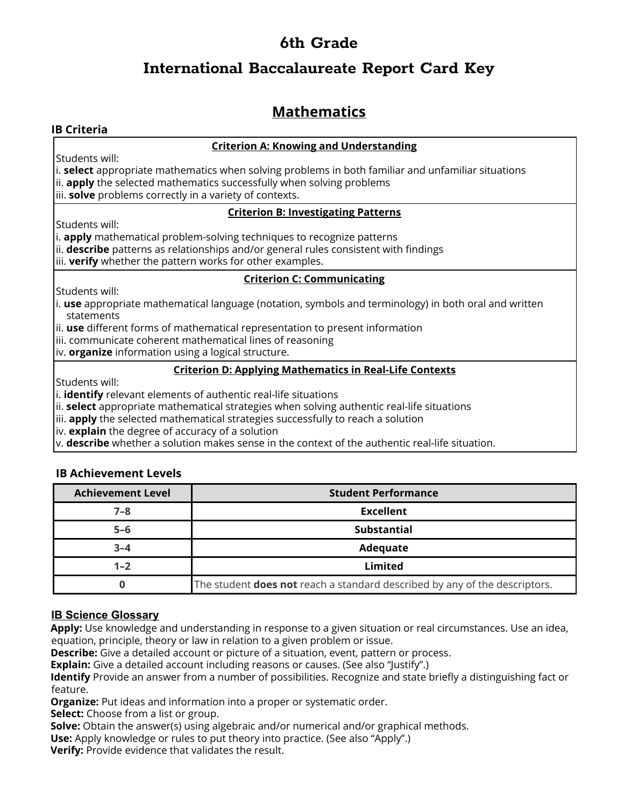## **International Baccalaureate Report Card Key**

# **Mathematics**

### **IB Criteria**

#### **Criterion A: Knowing and Understanding**

Students will:

i. **select** appropriate mathematics when solving problems in both familiar and unfamiliar situations ii. **apply** the selected mathematics successfully when solving problems

iii. **solve** problems correctly in a variety of contexts.

#### **Criterion B: Investigating Patterns**

Students will:

i. **apply** mathematical problem-solving techniques to recognize patterns

ii. **describe** patterns as relationships and/or general rules consistent with findings

iii. **verify** whether the pattern works for other examples.

### **Criterion C: Communicating**

Students will:

i. **use** appropriate mathematical language (notation, symbols and terminology) in both oral and written statements

ii. **use** different forms of mathematical representation to present information

iii. communicate coherent mathematical lines of reasoning

iv. **organize** information using a logical structure.

#### **Criterion D: Applying Mathematics in Real-Life Contexts**

Students will:

i. **identify** relevant elements of authentic real-life situations

ii. **select** appropriate mathematical strategies when solving authentic real-life situations

iii. **apply** the selected mathematical strategies successfully to reach a solution

iv. **explain** the degree of accuracy of a solution

v. **describe** whether a solution makes sense in the context of the authentic real-life situation.

### **IB Achievement Levels**

| <b>Achievement Level</b> | <b>Student Performance</b>                                                        |
|--------------------------|-----------------------------------------------------------------------------------|
| $7 - 8$                  | <b>Excellent</b>                                                                  |
| $5 - 6$                  | <b>Substantial</b>                                                                |
| $3 - 4$                  | Adequate                                                                          |
| $1 - 2$                  | Limited                                                                           |
|                          | The student <b>does not</b> reach a standard described by any of the descriptors. |

### **IB Science Glossary**

**Apply:** Use knowledge and understanding in response to a given situation or real circumstances. Use an idea, equation, principle, theory or law in relation to a given problem or issue.

**Describe:** Give a detailed account or picture of a situation, event, pattern or process.

**Explain:** Give a detailed account including reasons or causes. (See also "Justify".)

**Identify** Provide an answer from a number of possibilities. Recognize and state briefly a distinguishing fact or feature.

**Organize:** Put ideas and information into a proper or systematic order.

**Select:** Choose from a list or group.

**Solve:** Obtain the answer(s) using algebraic and/or numerical and/or graphical methods.

**Use:** Apply knowledge or rules to put theory into practice. (See also "Apply".)

**Verify:** Provide evidence that validates the result.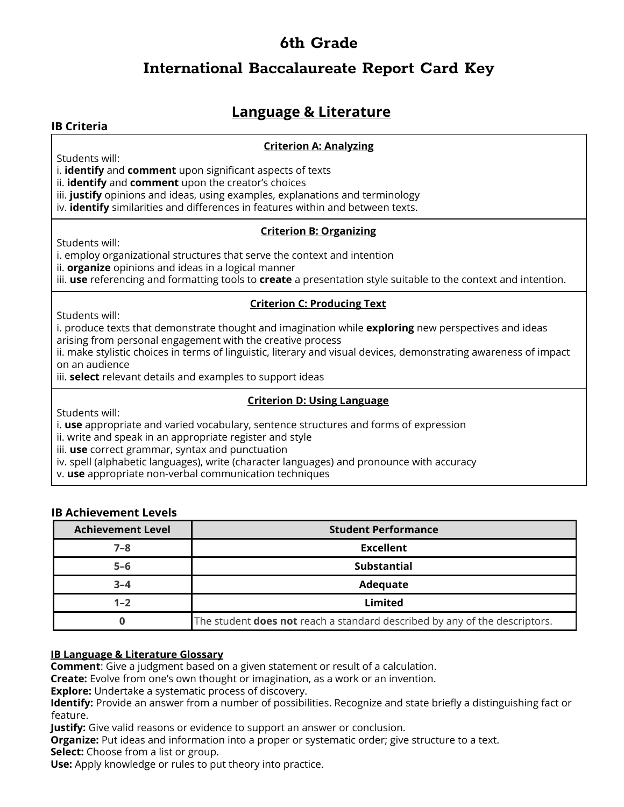## **International Baccalaureate Report Card Key**

## **Language & Literature**

#### **IB Criteria**

#### **Criterion A: Analyzing**

Students will:

i. **identify** and **comment** upon significant aspects of texts

ii. **identify** and **comment** upon the creator's choices

iii. **justify** opinions and ideas, using examples, explanations and terminology

iv. **identify** similarities and differences in features within and between texts.

#### **Criterion B: Organizing**

Students will:

i. employ organizational structures that serve the context and intention

ii. **organize** opinions and ideas in a logical manner

iii. **use** referencing and formatting tools to **create** a presentation style suitable to the context and intention.

#### **Criterion C: Producing Text**

Students will:

i. produce texts that demonstrate thought and imagination while **exploring** new perspectives and ideas arising from personal engagement with the creative process

ii. make stylistic choices in terms of linguistic, literary and visual devices, demonstrating awareness of impact on an audience

iii. **select** relevant details and examples to support ideas

#### **Criterion D: Using Language**

Students will:

i. **use** appropriate and varied vocabulary, sentence structures and forms of expression

ii. write and speak in an appropriate register and style

iii. **use** correct grammar, syntax and punctuation

iv. spell (alphabetic languages), write (character languages) and pronounce with accuracy

v. **use** appropriate non-verbal communication techniques

#### **IB Achievement Levels**

| <b>Achievement Level</b> | <b>Student Performance</b>                                                        |
|--------------------------|-----------------------------------------------------------------------------------|
| $7 - 8$                  | <b>Excellent</b>                                                                  |
| $5 - 6$                  | <b>Substantial</b>                                                                |
| $3 - 4$                  | Adequate                                                                          |
| $1 - 2$                  | Limited                                                                           |
|                          | The student <b>does not</b> reach a standard described by any of the descriptors. |

#### **IB Language & Literature Glossary**

**Comment**: Give a judgment based on a given statement or result of a calculation.

**Create:** Evolve from one's own thought or imagination, as a work or an invention.

**Explore:** Undertake a systematic process of discovery.

**Identify:** Provide an answer from a number of possibilities. Recognize and state briefly a distinguishing fact or feature.

**Justify:** Give valid reasons or evidence to support an answer or conclusion.

**Organize:** Put ideas and information into a proper or systematic order; give structure to a text.

**Select:** Choose from a list or group.

**Use:** Apply knowledge or rules to put theory into practice.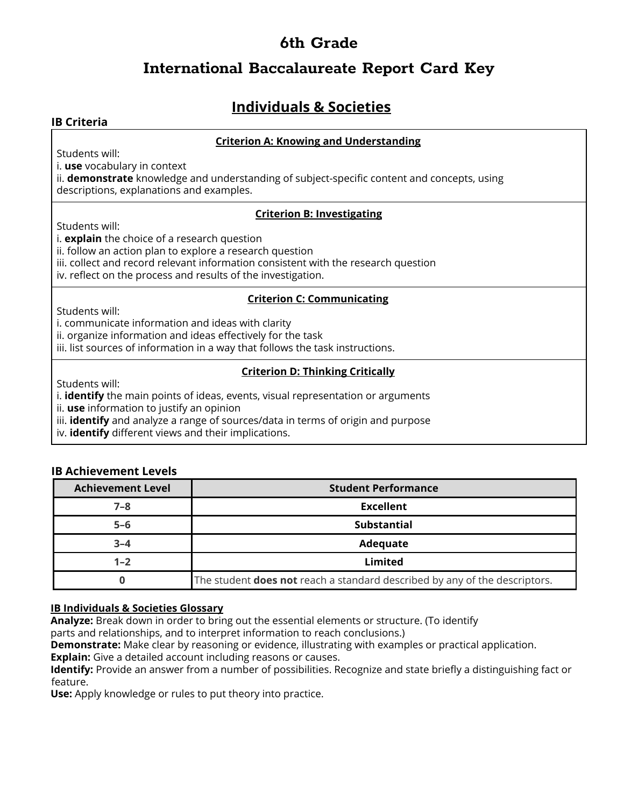## **International Baccalaureate Report Card Key**

# **Individuals & Societies**

#### **IB Criteria**

#### **Criterion A: Knowing and Understanding**

Students will:

i. **use** vocabulary in context

ii. **demonstrate** knowledge and understanding of subject-specific content and concepts, using descriptions, explanations and examples.

#### **Criterion B: Investigating**

Students will:

i. **explain** the choice of a research question

ii. follow an action plan to explore a research question

iii. collect and record relevant information consistent with the research question

iv. reflect on the process and results of the investigation.

#### **Criterion C: Communicating**

Students will:

i. communicate information and ideas with clarity

ii. organize information and ideas effectively for the task

iii. list sources of information in a way that follows the task instructions.

#### **Criterion D: Thinking Critically**

Students will:

i. **identify** the main points of ideas, events, visual representation or arguments

ii. **use** information to justify an opinion

iii. **identify** and analyze a range of sources/data in terms of origin and purpose

iv. **identify** different views and their implications.

### **IB Achievement Levels**

| <b>Achievement Level</b> | <b>Student Performance</b>                                                        |
|--------------------------|-----------------------------------------------------------------------------------|
| $7 - 8$                  | <b>Excellent</b>                                                                  |
| $5 - 6$                  | <b>Substantial</b>                                                                |
| $3 - 4$                  | Adequate                                                                          |
| $1 - 2$                  | Limited                                                                           |
|                          | The student <b>does not</b> reach a standard described by any of the descriptors. |

#### **IB Individuals & Societies Glossary**

**Analyze:** Break down in order to bring out the essential elements or structure. (To identify

parts and relationships, and to interpret information to reach conclusions.)

**Demonstrate:** Make clear by reasoning or evidence, illustrating with examples or practical application.

**Explain:** Give a detailed account including reasons or causes.

**Identify:** Provide an answer from a number of possibilities. Recognize and state briefly a distinguishing fact or feature.

**Use:** Apply knowledge or rules to put theory into practice.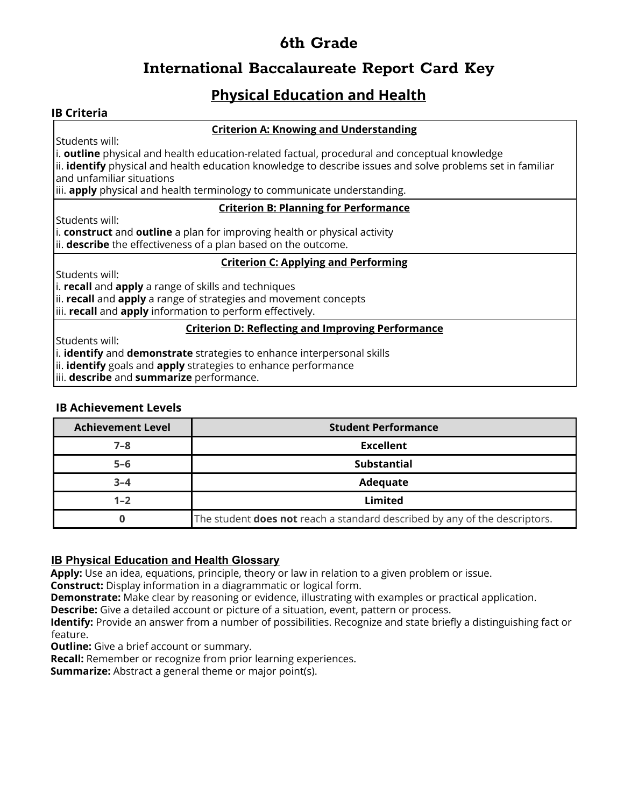# **International Baccalaureate Report Card Key**

# **Physical Education and Health**

### **IB Criteria**

#### **Criterion A: Knowing and Understanding**

Students will:

i. **outline** physical and health education-related factual, procedural and conceptual knowledge ii. **identify** physical and health education knowledge to describe issues and solve problems set in familiar and unfamiliar situations

iii. **apply** physical and health terminology to communicate understanding.

#### **Criterion B: Planning for Performance**

Students will:

i. **construct** and **outline** a plan for improving health or physical activity ii. **describe** the effectiveness of a plan based on the outcome.

#### **Criterion C: Applying and Performing**

Students will:

i. **recall** and **apply** a range of skills and techniques

ii. **recall** and **apply** a range of strategies and movement concepts

iii. **recall** and **apply** information to perform effectively.

#### **Criterion D: Reflecting and Improving Performance**

Students will:

i. **identify** and **demonstrate** strategies to enhance interpersonal skills

ii. **identify** goals and **apply** strategies to enhance performance

iii. **describe** and **summarize** performance.

#### **IB Achievement Levels**

| <b>Achievement Level</b> | <b>Student Performance</b>                                                        |
|--------------------------|-----------------------------------------------------------------------------------|
| $7 - 8$                  | <b>Excellent</b>                                                                  |
| $5 - 6$                  | <b>Substantial</b>                                                                |
| $3 - 4$                  | Adequate                                                                          |
| $1 - 2$                  | Limited                                                                           |
|                          | The student <b>does not</b> reach a standard described by any of the descriptors. |

#### **IB Physical Education and Health Glossary**

**Apply:** Use an idea, equations, principle, theory or law in relation to a given problem or issue.

**Construct:** Display information in a diagrammatic or logical form.

**Demonstrate:** Make clear by reasoning or evidence, illustrating with examples or practical application.

**Describe:** Give a detailed account or picture of a situation, event, pattern or process.

**Identify:** Provide an answer from a number of possibilities. Recognize and state briefly a distinguishing fact or feature.

**Outline:** Give a brief account or summary.

**Recall:** Remember or recognize from prior learning experiences.

**Summarize:** Abstract a general theme or major point(s).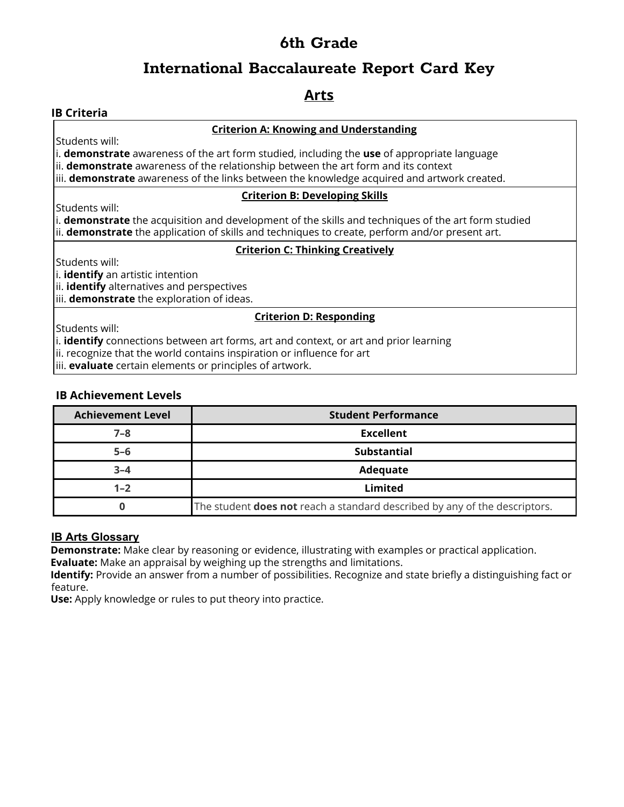## **International Baccalaureate Report Card Key**

### **Arts**

### **IB Criteria**

#### **Criterion A: Knowing and Understanding**

Students will:

i. **demonstrate** awareness of the art form studied, including the **use** of appropriate language ii. **demonstrate** awareness of the relationship between the art form and its context

iii. **demonstrate** awareness of the links between the knowledge acquired and artwork created.

#### **Criterion B: Developing Skills**

Students will:

i. **demonstrate** the acquisition and development of the skills and techniques of the art form studied ii. **demonstrate** the application of skills and techniques to create, perform and/or present art.

#### **Criterion C: Thinking Creatively**

Students will:

i. **identify** an artistic intention

ii. **identify** alternatives and perspectives

iii. **demonstrate** the exploration of ideas.

#### **Criterion D: Responding**

Students will:

i. **identify** connections between art forms, art and context, or art and prior learning

ii. recognize that the world contains inspiration or influence for art

iii. **evaluate** certain elements or principles of artwork.

#### **IB Achievement Levels**

| <b>Achievement Level</b> | <b>Student Performance</b>                                                        |
|--------------------------|-----------------------------------------------------------------------------------|
| $7 - 8$                  | <b>Excellent</b>                                                                  |
| $5 - 6$                  | <b>Substantial</b>                                                                |
| $3 - 4$                  | Adequate                                                                          |
| $1 - 2$                  | Limited                                                                           |
|                          | The student <b>does not</b> reach a standard described by any of the descriptors. |

#### **IB Arts Glossary**

**Demonstrate:** Make clear by reasoning or evidence, illustrating with examples or practical application.

**Evaluate:** Make an appraisal by weighing up the strengths and limitations.

**Identify:** Provide an answer from a number of possibilities. Recognize and state briefly a distinguishing fact or feature.

**Use:** Apply knowledge or rules to put theory into practice.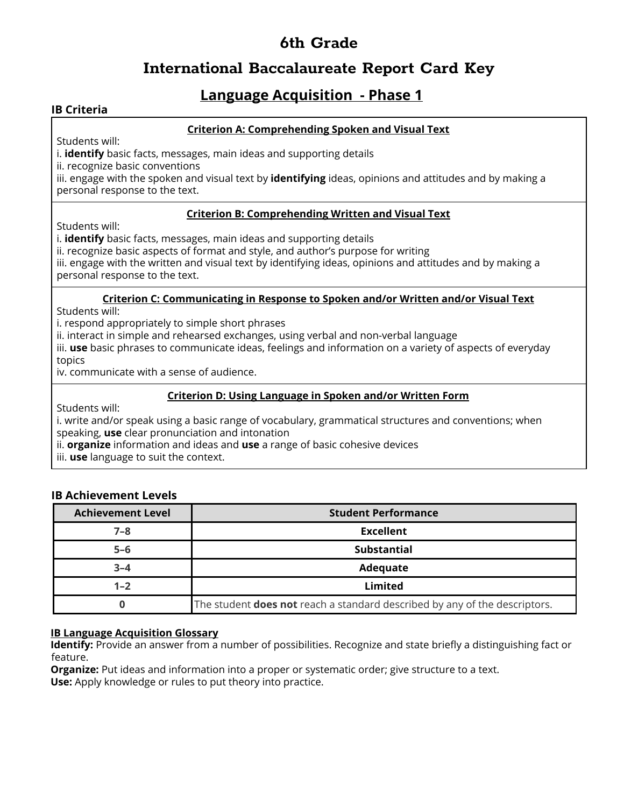### **International Baccalaureate Report Card Key**

### **Language Acquisition - Phase 1**

#### **IB Criteria**

#### **Criterion A: Comprehending Spoken and Visual Text**

Students will:

i. **identify** basic facts, messages, main ideas and supporting details

ii. recognize basic conventions

iii. engage with the spoken and visual text by **identifying** ideas, opinions and attitudes and by making a personal response to the text.

#### **Criterion B: Comprehending Written and Visual Text**

Students will:

i. **identify** basic facts, messages, main ideas and supporting details

ii. recognize basic aspects of format and style, and author's purpose for writing

iii. engage with the written and visual text by identifying ideas, opinions and attitudes and by making a personal response to the text.

#### **Criterion C: Communicating in Response to Spoken and/or Written and/or Visual Text**

Students will:

i. respond appropriately to simple short phrases

ii. interact in simple and rehearsed exchanges, using verbal and non-verbal language

iii. **use** basic phrases to communicate ideas, feelings and information on a variety of aspects of everyday topics

iv. communicate with a sense of audience.

#### **Criterion D: Using Language in Spoken and/or Written Form**

Students will:

i. write and/or speak using a basic range of vocabulary, grammatical structures and conventions; when speaking, **use** clear pronunciation and intonation

ii. **organize** information and ideas and **use** a range of basic cohesive devices

iii. **use** language to suit the context.

### **IB Achievement Levels**

| <b>Achievement Level</b> | <b>Student Performance</b>                                                        |
|--------------------------|-----------------------------------------------------------------------------------|
| $7 - 8$                  | <b>Excellent</b>                                                                  |
| $5 - 6$                  | <b>Substantial</b>                                                                |
| $3 - 4$                  | Adequate                                                                          |
| $1 - 2$                  | Limited                                                                           |
|                          | The student <b>does not</b> reach a standard described by any of the descriptors. |

#### **IB Language Acquisition Glossary**

**Identify:** Provide an answer from a number of possibilities. Recognize and state briefly a distinguishing fact or feature.

**Organize:** Put ideas and information into a proper or systematic order; give structure to a text. **Use:** Apply knowledge or rules to put theory into practice.